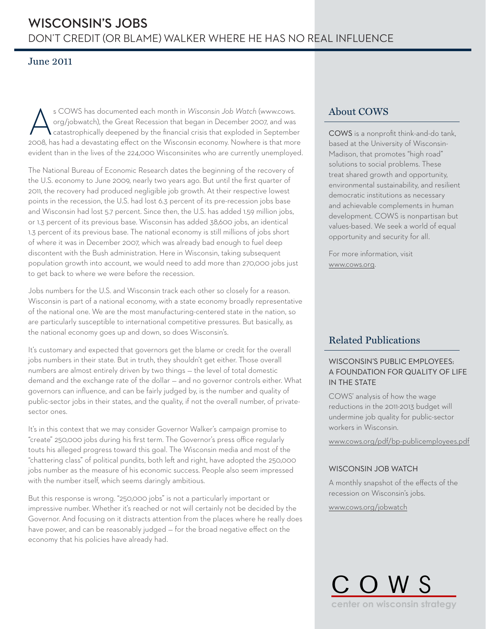## June 2011

s COWS has documented each month in *Wisconsin Job Watch* (www.cows.<br>
org/jobwatch), the Great Recession that began in December 2007, and was<br>
catastrophically deepened by the financial crisis that exploded in September<br>
2 org/jobwatch), the Great Recession that began in December 2007, and was catastrophically deepened by the financial crisis that exploded in September 2008, has had a devastating effect on the Wisconsin economy. Nowhere is that more evident than in the lives of the 224,000 Wisconsinites who are currently unemployed.

The National Bureau of Economic Research dates the beginning of the recovery of the U.S. economy to June 2009, nearly two years ago. But until the first quarter of 2011, the recovery had produced negligible job growth. At their respective lowest points in the recession, the U.S. had lost 6.3 percent of its pre-recession jobs base and Wisconsin had lost 5.7 percent. Since then, the U.S. has added 1.59 million jobs, or 1.3 percent of its previous base. Wisconsin has added 38,600 jobs, an identical 1.3 percent of its previous base. The national economy is still millions of jobs short of where it was in December 2007, which was already bad enough to fuel deep discontent with the Bush administration. Here in Wisconsin, taking subsequent population growth into account, we would need to add more than 270,000 jobs just to get back to where we were before the recession.

Jobs numbers for the U.S. and Wisconsin track each other so closely for a reason. Wisconsin is part of a national economy, with a state economy broadly representative of the national one. We are the most manufacturing-centered state in the nation, so are particularly susceptible to international competitive pressures. But basically, as the national economy goes up and down, so does Wisconsin's.

It's customary and expected that governors get the blame or credit for the overall jobs numbers in their state. But in truth, they shouldn't get either. Those overall numbers are almost entirely driven by two things — the level of total domestic demand and the exchange rate of the dollar — and no governor controls either. What governors can influence, and can be fairly judged by, is the number and quality of public-sector jobs in their states, and the quality, if not the overall number, of privatesector ones.

It's in this context that we may consider Governor Walker's campaign promise to "create" 250,000 jobs during his first term. The Governor's press office regularly touts his alleged progress toward this goal. The Wisconsin media and most of the "chattering class" of political pundits, both left and right, have adopted the 250,000 jobs number as the measure of his economic success. People also seem impressed with the number itself, which seems daringly ambitious.

But this response is wrong. "250,000 jobs" is not a particularly important or impressive number. Whether it's reached or not will certainly not be decided by the Governor. And focusing on it distracts attention from the places where he really does have power, and can be reasonably judged — for the broad negative effect on the economy that his policies have already had.

## About COWS

COWS is a nonprofit think-and-do tank, based at the University of Wisconsin-Madison, that promotes "high road" solutions to social problems. These treat shared growth and opportunity, environmental sustainability, and resilient democratic institutions as necessary and achievable complements in human development. COWS is nonpartisan but values-based. We seek a world of equal opportunity and security for all.

For more information, visit www.cows.org.

## Related Publications

### WISCONSIN'S PUBLIC EMPLOYEES: A FOUNDATION FOR QUALITY OF LIFE IN THE STATE

COWS' analysis of how the wage reductions in the 2011-2013 budget will undermine job quality for public-sector workers in Wisconsin.

www.cows.org/pdf/bp-publicemployees.pdf

### WISCONSIN JOB WATCH

A monthly snapshot of the effects of the recession on Wisconsin's jobs.

www.cows.org/jobwatch

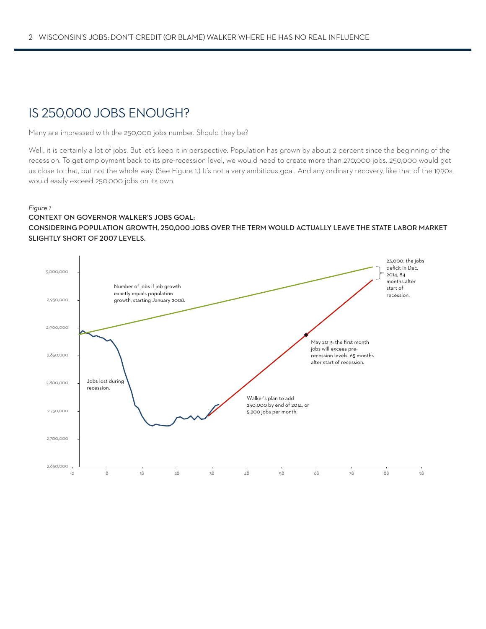# IS 250,000 JOBS ENOUGH?

Many are impressed with the 250,000 jobs number. Should they be?

Well, it is certainly a lot of jobs. But let's keep it in perspective. Population has grown by about 2 percent since the beginning of the recession. To get employment back to its pre-recession level, we would need to create more than 270,000 jobs. 250,000 would get us close to that, but not the whole way. (See Figure 1.) It's not a very ambitious goal. And any ordinary recovery, like that of the 1990s, would easily exceed 250,000 jobs on its own.

#### *Figure 1*

### **CONTEXT ON GOVERNOR WALKER'S JOBS GOAL: CONSIDERING POPULATION GROWTH, 250,000 JOBS OVER THE TERM WOULD ACTUALLY LEAVE THE STATE LABOR MARKET SLIGHTLY SHORT OF 2007 LEVELS.**

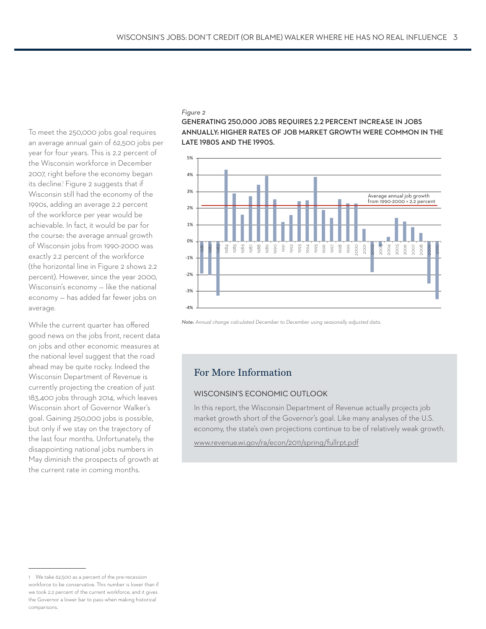### *Figure 2*

To meet the 250,000 jobs goal requires an average annual gain of 62,500 jobs per year for four years. This is 2.2 percent of the Wisconsin workforce in December 2007, right before the economy began its decline.<sup>1</sup> Figure 2 suggests that if Wisconsin still had the economy of the 1990s, adding an average 2.2 percent of the workforce per year would be achievable. In fact, it would be par for the course: the average annual growth of Wisconsin jobs from 1990-2000 was exactly 2.2 percent of the workforce (the horizontal line in Figure 2 shows 2.2 percent). However, since the year 2000, Wisconsin's economy — like the national economy — has added far fewer jobs on average.

While the current quarter has offered good news on the jobs front, recent data on jobs and other economic measures at the national level suggest that the road ahead may be quite rocky. Indeed the Wisconsin Department of Revenue is currently projecting the creation of just 183,400 jobs through 2014, which leaves Wisconsin short of Governor Walker's goal. Gaining 250,000 jobs is possible, but only if we stay on the trajectory of the last four months. Unfortunately, the disappointing national jobs numbers in May diminish the prospects of growth at the current rate in coming months.

**GENERATING 250,000 JOBS REQUIRES 2.2 PERCENT INCREASE IN JOBS ANNUALLY: HIGHER RATES OF JOB MARKET GROWTH WERE COMMON IN THE LATE 1980S AND THE 1990S.**



*Note: Annual change calculated December to December using seasonally adjusted data.*

## For More Information

### WISCONSIN'S ECONOMIC OUTLOOK

In this report, the Wisconsin Department of Revenue actually projects job market growth short of the Governor's goal. Like many analyses of the U.S. economy, the state's own projections continue to be of relatively weak growth.

www.revenue.wi.gov/ra/econ/2011/spring/fullrpt.pdf

<sup>1</sup> We take 62,500 as a percent of the pre-recession workforce to be conservative. This number is lower than if we took 2.2 percent of the current workforce, and it gives the Governor a lower bar to pass when making historical comparisons.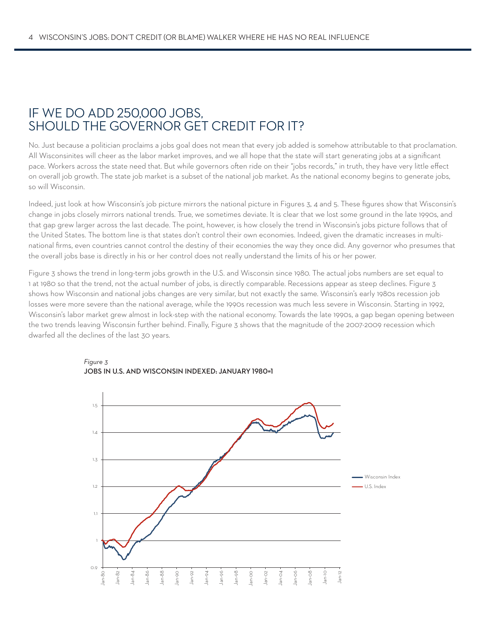## IF WE DO ADD 250,000 JOBS, SHOULD THE GOVERNOR GET CREDIT FOR IT?

No. Just because a politician proclaims a jobs goal does not mean that every job added is somehow attributable to that proclamation. All Wisconsinites will cheer as the labor market improves, and we all hope that the state will start generating jobs at a significant pace. Workers across the state need that. But while governors often ride on their "jobs records," in truth, they have very little effect on overall job growth. The state job market is a subset of the national job market. As the national economy begins to generate jobs, so will Wisconsin.

Indeed, just look at how Wisconsin's job picture mirrors the national picture in Figures 3, 4 and 5. These figures show that Wisconsin's change in jobs closely mirrors national trends. True, we sometimes deviate. It is clear that we lost some ground in the late 1990s, and that gap grew larger across the last decade. The point, however, is how closely the trend in Wisconsin's jobs picture follows that of the United States. The bottom line is that states don't control their own economies. Indeed, given the dramatic increases in multinational firms, even countries cannot control the destiny of their economies the way they once did. Any governor who presumes that the overall jobs base is directly in his or her control does not really understand the limits of his or her power.

Figure 3 shows the trend in long-term jobs growth in the U.S. and Wisconsin since 1980. The actual jobs numbers are set equal to 1 at 1980 so that the trend, not the actual number of jobs, is directly comparable. Recessions appear as steep declines. Figure 3 shows how Wisconsin and national jobs changes are very similar, but not exactly the same. Wisconsin's early 1980s recession job losses were more severe than the national average, while the 1990s recession was much less severe in Wisconsin. Starting in 1992, Wisconsin's labor market grew almost in lock-step with the national economy. Towards the late 1990s, a gap began opening between the two trends leaving Wisconsin further behind. Finally, Figure 3 shows that the magnitude of the 2007-2009 recession which dwarfed all the declines of the last 30 years.



#### *Figure 3* **JOBS IN U.S. AND WISCONSIN INDEXED: JANUARY 1980=1**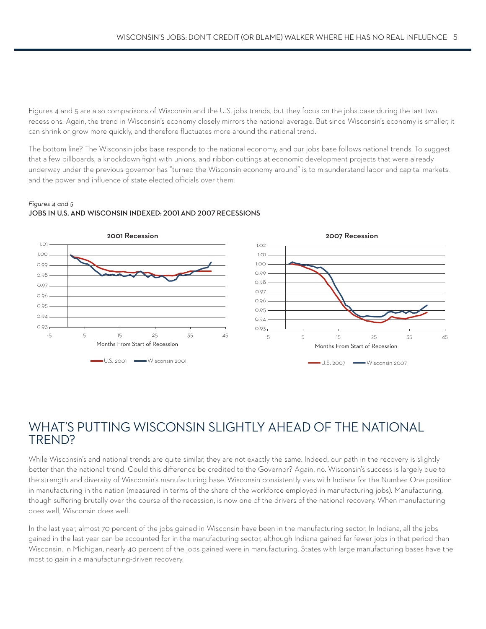Figures 4 and 5 are also comparisons of Wisconsin and the U.S. jobs trends, but they focus on the jobs base during the last two recessions. Again, the trend in Wisconsin's economy closely mirrors the national average. But since Wisconsin's economy is smaller, it can shrink or grow more quickly, and therefore fluctuates more around the national trend.

The bottom line? The Wisconsin jobs base responds to the national economy, and our jobs base follows national trends. To suggest that a few billboards, a knockdown fight with unions, and ribbon cuttings at economic development projects that were already underway under the previous governor has "turned the Wisconsin economy around" is to misunderstand labor and capital markets, and the power and influence of state elected officials over them.

### *Figures 4 and 5* **JOBS IN U.S. AND WISCONSIN INDEXED: 2001 AND 2007 RECESSIONS**



## WHAT'S PUTTING WISCONSIN SLIGHTLY AHEAD OF THE NATIONAL TREND?

While Wisconsin's and national trends are quite similar, they are not exactly the same. Indeed, our path in the recovery is slightly better than the national trend. Could this difference be credited to the Governor? Again, no. Wisconsin's success is largely due to the strength and diversity of Wisconsin's manufacturing base. Wisconsin consistently vies with Indiana for the Number One position in manufacturing in the nation (measured in terms of the share of the workforce employed in manufacturing jobs). Manufacturing, though suffering brutally over the course of the recession, is now one of the drivers of the national recovery. When manufacturing does well, Wisconsin does well.

In the last year, almost 70 percent of the jobs gained in Wisconsin have been in the manufacturing sector. In Indiana, all the jobs gained in the last year can be accounted for in the manufacturing sector, although Indiana gained far fewer jobs in that period than Wisconsin. In Michigan, nearly 40 percent of the jobs gained were in manufacturing. States with large manufacturing bases have the most to gain in a manufacturing-driven recovery.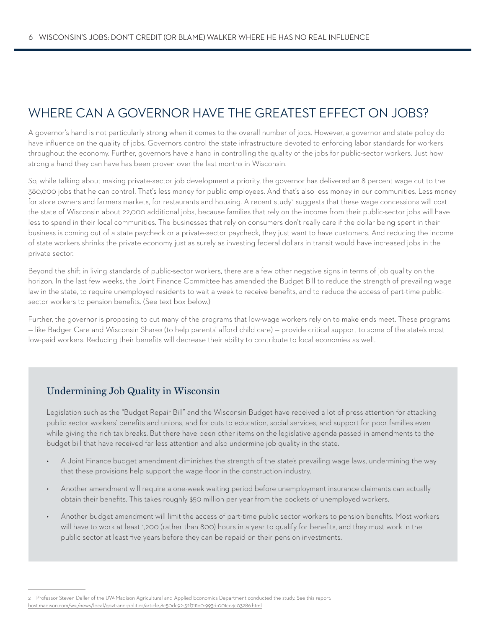# WHERE CAN A GOVERNOR HAVE THE GREATEST EFFECT ON JOBS?

A governor's hand is not particularly strong when it comes to the overall number of jobs. However, a governor and state policy do have influence on the quality of jobs. Governors control the state infrastructure devoted to enforcing labor standards for workers throughout the economy. Further, governors have a hand in controlling the quality of the jobs for public-sector workers. Just how strong a hand they can have has been proven over the last months in Wisconsin.

So, while talking about making private-sector job development a priority, the governor has delivered an 8 percent wage cut to the 380,000 jobs that he can control. That's less money for public employees. And that's also less money in our communities. Less money for store owners and farmers markets, for restaurants and housing. A recent study<sup>2</sup> suggests that these wage concessions will cost the state of Wisconsin about 22,000 additional jobs, because families that rely on the income from their public-sector jobs will have less to spend in their local communities. The businesses that rely on consumers don't really care if the dollar being spent in their business is coming out of a state paycheck or a private-sector paycheck, they just want to have customers. And reducing the income of state workers shrinks the private economy just as surely as investing federal dollars in transit would have increased jobs in the private sector.

Beyond the shift in living standards of public-sector workers, there are a few other negative signs in terms of job quality on the horizon. In the last few weeks, the Joint Finance Committee has amended the Budget Bill to reduce the strength of prevailing wage law in the state, to require unemployed residents to wait a week to receive benefits, and to reduce the access of part-time publicsector workers to pension benefits. (See text box below.)

Further, the governor is proposing to cut many of the programs that low-wage workers rely on to make ends meet. These programs — like Badger Care and Wisconsin Shares (to help parents' afford child care) — provide critical support to some of the state's most low-paid workers. Reducing their benefits will decrease their ability to contribute to local economies as well.

## Undermining Job Quality in Wisconsin

Legislation such as the "Budget Repair Bill" and the Wisconsin Budget have received a lot of press attention for attacking public sector workers' benefits and unions, and for cuts to education, social services, and support for poor families even while giving the rich tax breaks. But there have been other items on the legislative agenda passed in amendments to the budget bill that have received far less attention and also undermine job quality in the state.

- A Joint Finance budget amendment diminishes the strength of the state's prevailing wage laws, undermining the way that these provisions help support the wage floor in the construction industry.
- Another amendment will require a one-week waiting period before unemployment insurance claimants can actually obtain their benefits. This takes roughly \$50 million per year from the pockets of unemployed workers.
- • Another budget amendment will limit the access of part-time public sector workers to pension benefits. Most workers will have to work at least 1,200 (rather than 800) hours in a year to qualify for benefits, and they must work in the public sector at least five years before they can be repaid on their pension investments.

<sup>2</sup> Professor Steven Deller of the UW-Madison Agricultural and Applied Economics Department conducted the study. See this report: host.madison.com/wsj/news/local/govt-and-politics/article\_8c50dc92-52f7-11e0-993d-001cc4c03286.html